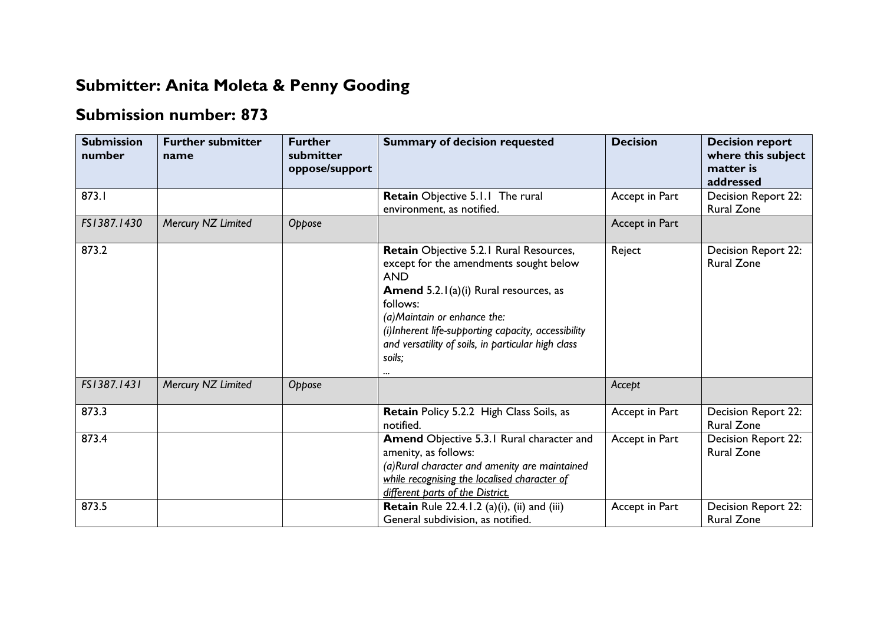## **Submitter: Anita Moleta & Penny Gooding**

## **Submission number: 873**

| <b>Submission</b><br>number | <b>Further submitter</b><br>name | <b>Further</b><br>submitter<br>oppose/support | <b>Summary of decision requested</b>                                                                                                                                                                                                                                                                               | <b>Decision</b> | <b>Decision report</b><br>where this subject<br>matter is<br>addressed |
|-----------------------------|----------------------------------|-----------------------------------------------|--------------------------------------------------------------------------------------------------------------------------------------------------------------------------------------------------------------------------------------------------------------------------------------------------------------------|-----------------|------------------------------------------------------------------------|
| 873.I                       |                                  |                                               | Retain Objective 5.1.1 The rural<br>environment, as notified.                                                                                                                                                                                                                                                      | Accept in Part  | Decision Report 22:<br><b>Rural Zone</b>                               |
| FS1387.1430                 | Mercury NZ Limited               | Oppose                                        |                                                                                                                                                                                                                                                                                                                    | Accept in Part  |                                                                        |
| 873.2                       |                                  |                                               | Retain Objective 5.2.1 Rural Resources,<br>except for the amendments sought below<br><b>AND</b><br><b>Amend</b> 5.2.1(a)(i) Rural resources, as<br>follows:<br>(a) Maintain or enhance the:<br>(i)Inherent life-supporting capacity, accessibility<br>and versatility of soils, in particular high class<br>soils; | Reject          | Decision Report 22:<br><b>Rural Zone</b>                               |
| FS1387.1431                 | Mercury NZ Limited               | Oppose                                        |                                                                                                                                                                                                                                                                                                                    | Accept          |                                                                        |
| 873.3                       |                                  |                                               | <b>Retain Policy 5.2.2 High Class Soils, as</b><br>notified.                                                                                                                                                                                                                                                       | Accept in Part  | Decision Report 22:<br><b>Rural Zone</b>                               |
| 873.4                       |                                  |                                               | Amend Objective 5.3.1 Rural character and<br>amenity, as follows:<br>(a)Rural character and amenity are maintained<br>while recognising the localised character of<br>different parts of the District.                                                                                                             | Accept in Part  | Decision Report 22:<br><b>Rural Zone</b>                               |
| 873.5                       |                                  |                                               | <b>Retain</b> Rule 22.4.1.2 (a)(i), (ii) and (iii)<br>General subdivision, as notified.                                                                                                                                                                                                                            | Accept in Part  | Decision Report 22:<br><b>Rural Zone</b>                               |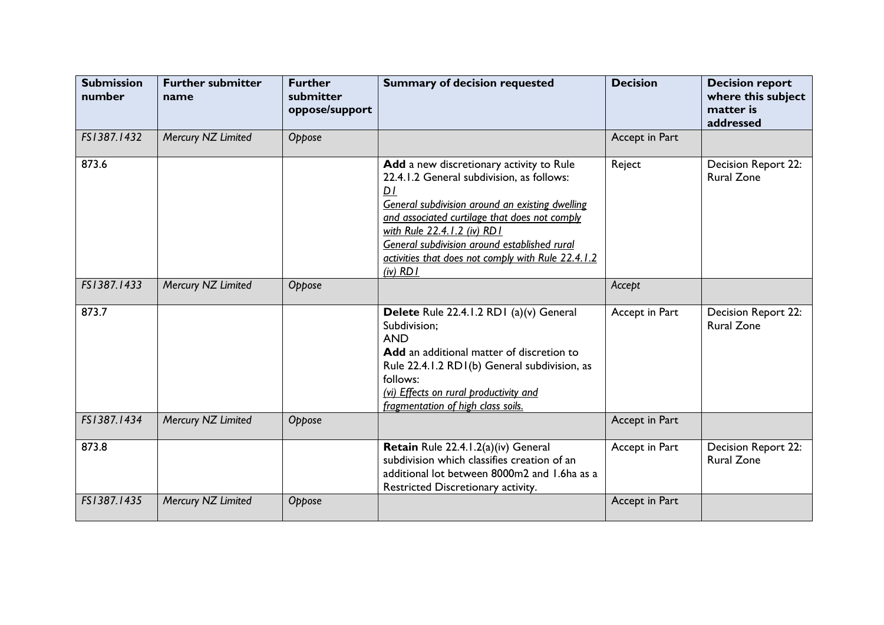| <b>Submission</b><br>number | <b>Further submitter</b><br>name | <b>Further</b><br>submitter<br>oppose/support | <b>Summary of decision requested</b>                                                                                                                                                                                                                                                                                                                | <b>Decision</b> | <b>Decision report</b><br>where this subject<br>matter is<br>addressed |
|-----------------------------|----------------------------------|-----------------------------------------------|-----------------------------------------------------------------------------------------------------------------------------------------------------------------------------------------------------------------------------------------------------------------------------------------------------------------------------------------------------|-----------------|------------------------------------------------------------------------|
| FS1387.1432                 | Mercury NZ Limited               | Oppose                                        |                                                                                                                                                                                                                                                                                                                                                     | Accept in Part  |                                                                        |
| 873.6                       |                                  |                                               | Add a new discretionary activity to Rule<br>22.4.1.2 General subdivision, as follows:<br>D1<br>General subdivision around an existing dwelling<br>and associated curtilage that does not comply<br>with Rule 22.4.1.2 (iv) RD1<br>General subdivision around established rural<br>activities that does not comply with Rule 22.4.1.2<br>$(iv)$ RD I | Reject          | Decision Report 22:<br><b>Rural Zone</b>                               |
| FS1387.1433                 | Mercury NZ Limited               | Oppose                                        |                                                                                                                                                                                                                                                                                                                                                     | Accept          |                                                                        |
| 873.7                       |                                  |                                               | Delete Rule 22.4.1.2 RD1 (a)(v) General<br>Subdivision;<br><b>AND</b><br>Add an additional matter of discretion to<br>Rule 22.4.1.2 RD1(b) General subdivision, as<br>follows:<br>(vi) Effects on rural productivity and<br>fragmentation of high class soils.                                                                                      | Accept in Part  | Decision Report 22:<br><b>Rural Zone</b>                               |
| FS1387.1434                 | Mercury NZ Limited               | Oppose                                        |                                                                                                                                                                                                                                                                                                                                                     | Accept in Part  |                                                                        |
| 873.8                       |                                  |                                               | Retain Rule 22.4.1.2(a)(iv) General<br>subdivision which classifies creation of an<br>additional lot between 8000m2 and 1.6ha as a<br>Restricted Discretionary activity.                                                                                                                                                                            | Accept in Part  | Decision Report 22:<br><b>Rural Zone</b>                               |
| FS1387.1435                 | Mercury NZ Limited               | Oppose                                        |                                                                                                                                                                                                                                                                                                                                                     | Accept in Part  |                                                                        |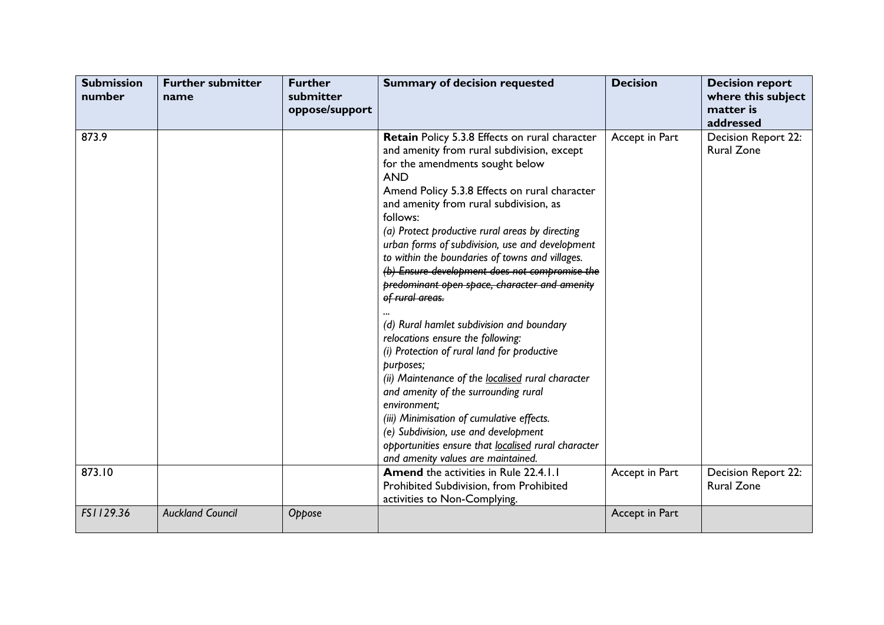| <b>Submission</b><br>number | <b>Further submitter</b><br>name | <b>Further</b><br>submitter<br>oppose/support | <b>Summary of decision requested</b>                                                                                                                                                                                                                                                                                                                                                                                                                                                                                                                                                                                                                                                                                                                                                                                                                                                                                                                                             | <b>Decision</b> | <b>Decision report</b><br>where this subject<br>matter is<br>addressed |
|-----------------------------|----------------------------------|-----------------------------------------------|----------------------------------------------------------------------------------------------------------------------------------------------------------------------------------------------------------------------------------------------------------------------------------------------------------------------------------------------------------------------------------------------------------------------------------------------------------------------------------------------------------------------------------------------------------------------------------------------------------------------------------------------------------------------------------------------------------------------------------------------------------------------------------------------------------------------------------------------------------------------------------------------------------------------------------------------------------------------------------|-----------------|------------------------------------------------------------------------|
| 873.9                       |                                  |                                               | Retain Policy 5.3.8 Effects on rural character<br>and amenity from rural subdivision, except<br>for the amendments sought below<br><b>AND</b><br>Amend Policy 5.3.8 Effects on rural character<br>and amenity from rural subdivision, as<br>follows:<br>(a) Protect productive rural areas by directing<br>urban forms of subdivision, use and development<br>to within the boundaries of towns and villages.<br>(b) Ensure development does not compromise the<br>predominant open space, character and amenity<br>of rural areas.<br>(d) Rural hamlet subdivision and boundary<br>relocations ensure the following:<br>(i) Protection of rural land for productive<br>purposes;<br>(ii) Maintenance of the localised rural character<br>and amenity of the surrounding rural<br>environment;<br>(iii) Minimisation of cumulative effects.<br>(e) Subdivision, use and development<br>opportunities ensure that localised rural character<br>and amenity values are maintained. | Accept in Part  | Decision Report 22:<br><b>Rural Zone</b>                               |
| 873.10                      |                                  |                                               | <b>Amend</b> the activities in Rule 22.4.1.1<br>Prohibited Subdivision, from Prohibited<br>activities to Non-Complying.                                                                                                                                                                                                                                                                                                                                                                                                                                                                                                                                                                                                                                                                                                                                                                                                                                                          | Accept in Part  | Decision Report 22:<br><b>Rural Zone</b>                               |
| FS1129.36                   | <b>Auckland Council</b>          | Oppose                                        |                                                                                                                                                                                                                                                                                                                                                                                                                                                                                                                                                                                                                                                                                                                                                                                                                                                                                                                                                                                  | Accept in Part  |                                                                        |